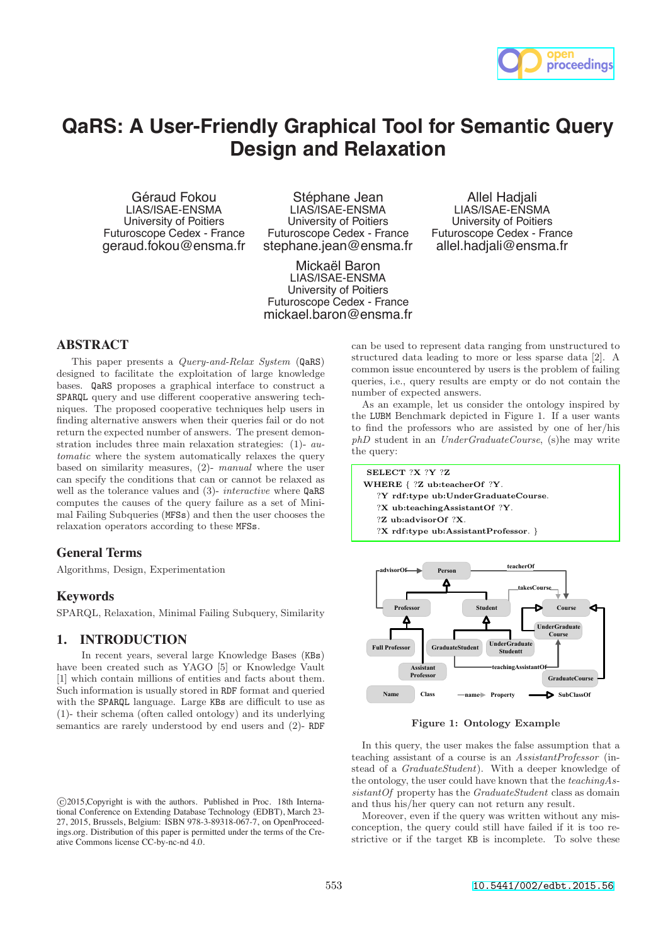

# **QaRS: A User-Friendly Graphical Tool for Semantic Query Design and Relaxation**

Géraud Fokou LIAS/ISAE-ENSMA University of Poitiers Futuroscope Cedex - France geraud.fokou@ensma.fr

Stéphane Jean LIAS/ISAE-ENSMA University of Poitiers Futuroscope Cedex - France stephane.jean@ensma.fr

Mickaël Baron LIAS/ISAE-ENSMA University of Poitiers Futuroscope Cedex - France mickael.baron@ensma.fr

Allel Hadjali LIAS/ISAE-ENSMA University of Poitiers Futuroscope Cedex - France allel.hadjali@ensma.fr

## **ABSTRACT**

This paper presents a Query-and-Relax System (QaRS) designed to facilitate the exploitation of large knowledge bases. QaRS proposes a graphical interface to construct a SPARQL query and use different cooperative answering techniques. The proposed cooperative techniques help users in finding alternative answers when their queries fail or do not return the expected number of answers. The present demonstration includes three main relaxation strategies: (1)- automatic where the system automatically relaxes the query based on similarity measures, (2)- manual where the user can specify the conditions that can or cannot be relaxed as well as the tolerance values and (3)- *interactive* where **QaRS** computes the causes of the query failure as a set of Minimal Failing Subqueries (MFSs) and then the user chooses the relaxation operators according to these MFSs.

### **General Terms**

Algorithms, Design, Experimentation

### **Keywords**

SPARQL, Relaxation, Minimal Failing Subquery, Similarity

### **1. INTRODUCTION**

In recent years, several large Knowledge Bases (KBs) have been created such as YAGO [5] or Knowledge Vault [1] which contain millions of entities and facts about them. Such information is usually stored in RDF format and queried with the SPARQL language. Large KBs are difficult to use as (1)- their schema (often called ontology) and its underlying semantics are rarely understood by end users and (2)- RDF

can be used to represent data ranging from unstructured to structured data leading to more or less sparse data [2]. A common issue encountered by users is the problem of failing queries, i.e., query results are empty or do not contain the number of expected answers.

As an example, let us consider the ontology inspired by the LUBM Benchmark depicted in Figure 1. If a user wants to find the professors who are assisted by one of her/his phD student in an UnderGraduateCourse, (s)he may write the query:

SELECT ?X ?Y ?Z WHERE { ?Z ub:teacherOf ?Y. ?Y rdf:type ub:UnderGraduateCourse. ?X ub:teachingAssistantOf ?Y. ?Z ub:advisorOf ?X. ?X rdf:type ub:AssistantProfessor. }



Figure 1: Ontology Example

In this query, the user makes the false assumption that a teaching assistant of a course is an AssistantProfessor (instead of a GraduateStudent). With a deeper knowledge of the ontology, the user could have known that the teachingAssistant Of property has the Graduate Student class as domain and thus his/her query can not return any result.

Moreover, even if the query was written without any misconception, the query could still have failed if it is too restrictive or if the target KB is incomplete. To solve these

<sup>⃝</sup>c 2015,Copyright is with the authors. Published in Proc. 18th International Conference on Extending Database Technology (EDBT), March 23- 27, 2015, Brussels, Belgium: ISBN 978-3-89318-067-7, on OpenProceedings.org. Distribution of this paper is permitted under the terms of the Creative Commons license CC-by-nc-nd 4.0.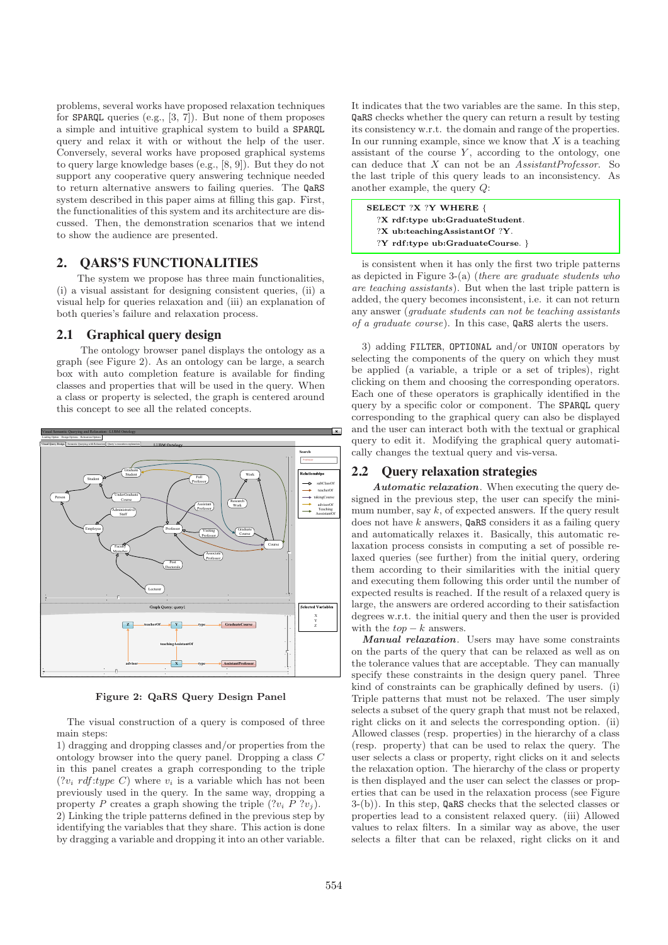problems, several works have proposed relaxation techniques for SPARQL queries (e.g., [3, 7]). But none of them proposes a simple and intuitive graphical system to build a SPARQL query and relax it with or without the help of the user. Conversely, several works have proposed graphical systems to query large knowledge bases (e.g., [8, 9]). But they do not support any cooperative query answering technique needed to return alternative answers to failing queries. The QaRS system described in this paper aims at filling this gap. First, the functionalities of this system and its architecture are discussed. Then, the demonstration scenarios that we intend to show the audience are presented.

# **2. QARS'S FUNCTIONALITIES**

The system we propose has three main functionalities, (i) a visual assistant for designing consistent queries, (ii) a visual help for queries relaxation and (iii) an explanation of both queries's failure and relaxation process.

### **2.1 Graphical query design**

The ontology browser panel displays the ontology as a graph (see Figure 2). As an ontology can be large, a search box with auto completion feature is available for finding classes and properties that will be used in the query. When a class or property is selected, the graph is centered around this concept to see all the related concepts.



Figure 2: QaRS Query Design Panel

The visual construction of a query is composed of three main steps:

1) dragging and dropping classes and/or properties from the ontology browser into the query panel. Dropping a class C in this panel creates a graph corresponding to the triple  $(?v_i \, rdf: type \, C)$  where  $v_i$  is a variable which has not been previously used in the query. In the same way, dropping a property P creates a graph showing the triple  $(?v_i \nvert P ?v_j)$ . 2) Linking the triple patterns defined in the previous step by identifying the variables that they share. This action is done by dragging a variable and dropping it into an other variable. It indicates that the two variables are the same. In this step, QaRS checks whether the query can return a result by testing its consistency w.r.t. the domain and range of the properties. In our running example, since we know that  $X$  is a teaching assistant of the course  $Y$ , according to the ontology, one can deduce that  $X$  can not be an  $\overline{AssistantProfessor}$ . So the last triple of this query leads to an inconsistency. As another example, the query Q:

SELECT ?X ?Y WHERE { ?X rdf:type ub:GraduateStudent. ?X ub:teachingAssistantOf ?Y. ?Y rdf:type ub:GraduateCourse. }

is consistent when it has only the first two triple patterns as depicted in Figure 3-(a) (there are graduate students who are teaching assistants). But when the last triple pattern is added, the query becomes inconsistent, i.e. it can not return any answer (graduate students can not be teaching assistants of a graduate course). In this case, QaRS alerts the users.

3) adding FILTER, OPTIONAL and/or UNION operators by selecting the components of the query on which they must be applied (a variable, a triple or a set of triples), right clicking on them and choosing the corresponding operators. Each one of these operators is graphically identified in the query by a specific color or component. The SPARQL query corresponding to the graphical query can also be displayed and the user can interact both with the textual or graphical query to edit it. Modifying the graphical query automatically changes the textual query and vis-versa.

#### **2.2 Query relaxation strategies**

Automatic relaxation. When executing the query designed in the previous step, the user can specify the minimum number, say  $k$ , of expected answers. If the query result does not have  $k$  answers,  $Q$ aRS considers it as a failing query and automatically relaxes it. Basically, this automatic relaxation process consists in computing a set of possible relaxed queries (see further) from the initial query, ordering them according to their similarities with the initial query and executing them following this order until the number of expected results is reached. If the result of a relaxed query is large, the answers are ordered according to their satisfaction degrees w.r.t. the initial query and then the user is provided with the  $top - k$  answers.

Manual relaxation. Users may have some constraints on the parts of the query that can be relaxed as well as on the tolerance values that are acceptable. They can manually specify these constraints in the design query panel. Three kind of constraints can be graphically defined by users. (i) Triple patterns that must not be relaxed. The user simply selects a subset of the query graph that must not be relaxed, right clicks on it and selects the corresponding option. (ii) Allowed classes (resp. properties) in the hierarchy of a class (resp. property) that can be used to relax the query. The user selects a class or property, right clicks on it and selects the relaxation option. The hierarchy of the class or property is then displayed and the user can select the classes or properties that can be used in the relaxation process (see Figure 3-(b)). In this step, QaRS checks that the selected classes or properties lead to a consistent relaxed query. (iii) Allowed values to relax filters. In a similar way as above, the user selects a filter that can be relaxed, right clicks on it and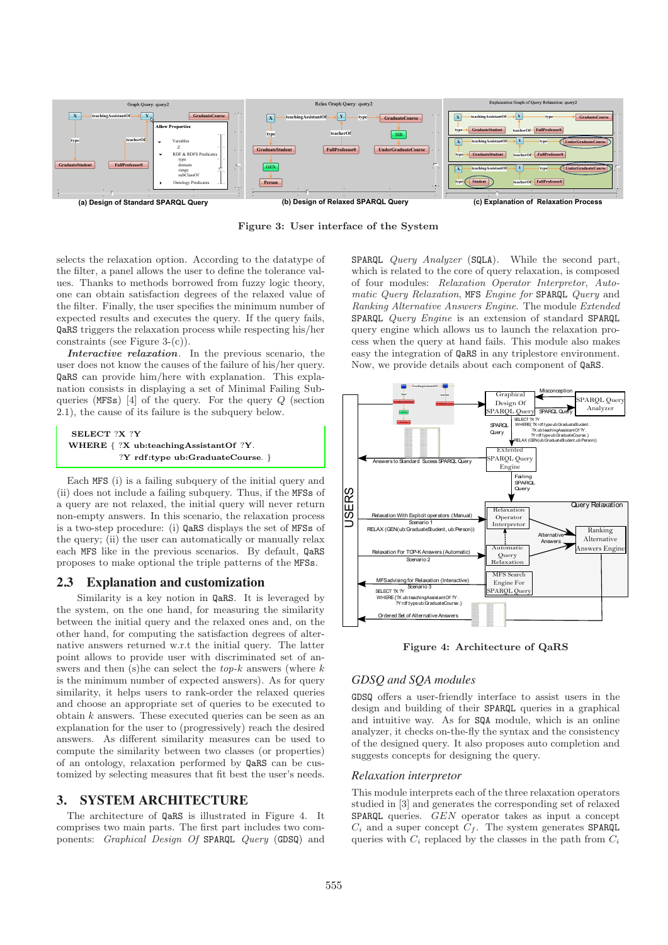

Figure 3: User interface of the System

selects the relaxation option. According to the datatype of the filter, a panel allows the user to define the tolerance values. Thanks to methods borrowed from fuzzy logic theory, one can obtain satisfaction degrees of the relaxed value of the filter. Finally, the user specifies the minimum number of expected results and executes the query. If the query fails, QaRS triggers the relaxation process while respecting his/her constraints (see Figure 3-(c)).

Interactive relaxation. In the previous scenario, the user does not know the causes of the failure of his/her query. QaRS can provide him/here with explanation. This explanation consists in displaying a set of Minimal Failing Subqueries (MFSs) [4] of the query. For the query Q (section 2.1), the cause of its failure is the subquery below.

#### SELECT ?X ?Y WHERE { ?X ub:teachingAssistantOf ?Y. ?Y rdf :type ub:GraduateCourse. }

Each MFS (i) is a failing subquery of the initial query and (ii) does not include a failing subquery. Thus, if the MFSs of a query are not relaxed, the initial query will never return non-empty answers. In this scenario, the relaxation process is a two-step procedure: (i) QaRS displays the set of MFSs of the query; (ii) the user can automatically or manually relax each MFS like in the previous scenarios. By default, QaRS proposes to make optional the triple patterns of the MFSs.

# **2.3 Explanation and customization**

Similarity is a key notion in QaRS. It is leveraged by the system, on the one hand, for measuring the similarity between the initial query and the relaxed ones and, on the other hand, for computing the satisfaction degrees of alternative answers returned w.r.t the initial query. The latter point allows to provide user with discriminated set of answers and then (s)he can select the  $top-k$  answers (where  $k$ is the minimum number of expected answers). As for query similarity, it helps users to rank-order the relaxed queries and choose an appropriate set of queries to be executed to obtain  $k$  answers. These executed queries can be seen as an explanation for the user to (progressively) reach the desired answers. As different similarity measures can be used to compute the similarity between two classes (or properties) of an ontology, relaxation performed by QaRS can be customized by selecting measures that fit best the user's needs.

# **3. SYSTEM ARCHITECTURE**

The architecture of QaRS is illustrated in Figure 4. It comprises two main parts. The first part includes two components: Graphical Design Of SPARQL Query (GDSQ) and SPARQL Query Analyzer (SQLA). While the second part, which is related to the core of query relaxation, is composed of four modules: Relaxation Operator Interpretor, Automatic Query Relaxation, MFS Engine for SPARQL Query and Ranking Alternative Answers Engine. The module Extended SPARQL Query Engine is an extension of standard SPARQL query engine which allows us to launch the relaxation process when the query at hand fails. This module also makes easy the integration of QaRS in any triplestore environment. Now, we provide details about each component of QaRS.



Figure 4: Architecture of QaRS

# *GDSQ and SQA modules*

GDSQ offers a user-friendly interface to assist users in the design and building of their SPARQL queries in a graphical and intuitive way. As for SQA module, which is an online analyzer, it checks on-the-fly the syntax and the consistency of the designed query. It also proposes auto completion and suggests concepts for designing the query.

### *Relaxation interpretor*

This module interprets each of the three relaxation operators studied in [3] and generates the corresponding set of relaxed SPARQL queries. GEN operator takes as input a concept  $C_i$  and a super concept  $C_f$ . The system generates SPARQL queries with  $C_i$  replaced by the classes in the path from  $C_i$